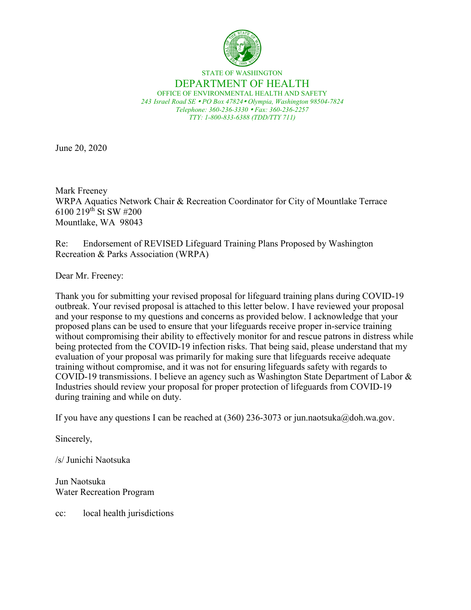

#### STATE OF WASHINGTON DEPARTMENT OF HEALTH OFFICE OF ENVIRONMENTAL HEALTH AND SAFETY *243 Israel Road SE PO Box 47824 Olympia, Washington 98504-7824 Telephone: 360-236-3330 Fax: 360-236-2257 TTY: 1-800-833-6388 (TDD/TTY 711)*

June 20, 2020

Mark Freeney WRPA Aquatics Network Chair & Recreation Coordinator for City of Mountlake Terrace 6100 219th St SW #200 Mountlake, WA 98043

Re: Endorsement of REVISED Lifeguard Training Plans Proposed by Washington Recreation & Parks Association (WRPA)

Dear Mr. Freeney:

Thank you for submitting your revised proposal for lifeguard training plans during COVID-19 outbreak. Your revised proposal is attached to this letter below. I have reviewed your proposal and your response to my questions and concerns as provided below. I acknowledge that your proposed plans can be used to ensure that your lifeguards receive proper in-service training without compromising their ability to effectively monitor for and rescue patrons in distress while being protected from the COVID-19 infection risks. That being said, please understand that my evaluation of your proposal was primarily for making sure that lifeguards receive adequate training without compromise, and it was not for ensuring lifeguards safety with regards to COVID-19 transmissions. I believe an agency such as Washington State Department of Labor & Industries should review your proposal for proper protection of lifeguards from COVID-19 during training and while on duty.

If you have any questions I can be reached at  $(360)$  236-3073 or jun.naotsuka@doh.wa.gov.

Sincerely,

/s/ Junichi Naotsuka

Jun Naotsuka Water Recreation Program

cc: local health jurisdictions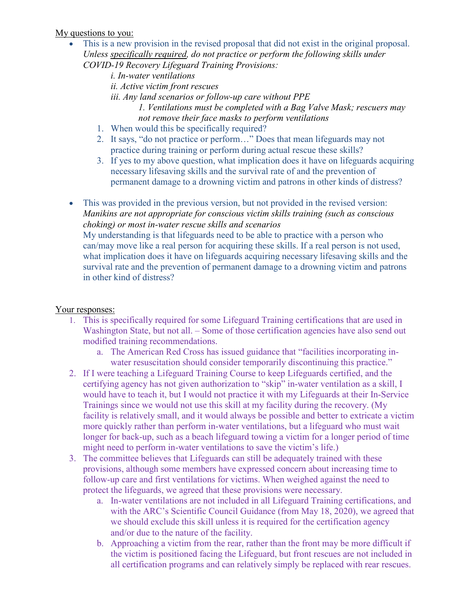### My questions to you:

- This is a new provision in the revised proposal that did not exist in the original proposal. *Unless specifically required, do not practice or perform the following skills under COVID-19 Recovery Lifeguard Training Provisions:*
	- *i. In-water ventilations ii. Active victim front rescues iii. Any land scenarios or follow-up care without PPE 1. Ventilations must be completed with a Bag Valve Mask; rescuers may not remove their face masks to perform ventilations*
	- 1. When would this be specifically required?
	- 2. It says, "do not practice or perform…" Does that mean lifeguards may not practice during training or perform during actual rescue these skills?
	- 3. If yes to my above question, what implication does it have on lifeguards acquiring necessary lifesaving skills and the survival rate of and the prevention of permanent damage to a drowning victim and patrons in other kinds of distress?

• This was provided in the previous version, but not provided in the revised version: *Manikins are not appropriate for conscious victim skills training (such as conscious choking) or most in-water rescue skills and scenarios* My understanding is that lifeguards need to be able to practice with a person who can/may move like a real person for acquiring these skills. If a real person is not used, what implication does it have on lifeguards acquiring necessary lifesaving skills and the survival rate and the prevention of permanent damage to a drowning victim and patrons in other kind of distress?

## Your responses:

- 1. This is specifically required for some Lifeguard Training certifications that are used in Washington State, but not all. – Some of those certification agencies have also send out modified training recommendations.
	- a. The American Red Cross has issued guidance that "facilities incorporating inwater resuscitation should consider temporarily discontinuing this practice."
- 2. If I were teaching a Lifeguard Training Course to keep Lifeguards certified, and the certifying agency has not given authorization to "skip" in-water ventilation as a skill, I would have to teach it, but I would not practice it with my Lifeguards at their In-Service Trainings since we would not use this skill at my facility during the recovery. (My facility is relatively small, and it would always be possible and better to extricate a victim more quickly rather than perform in-water ventilations, but a lifeguard who must wait longer for back-up, such as a beach lifeguard towing a victim for a longer period of time might need to perform in-water ventilations to save the victim's life.)
- 3. The committee believes that Lifeguards can still be adequately trained with these provisions, although some members have expressed concern about increasing time to follow-up care and first ventilations for victims. When weighed against the need to protect the lifeguards, we agreed that these provisions were necessary.
	- a. In-water ventilations are not included in all Lifeguard Training certifications, and with the ARC's Scientific Council Guidance (from May 18, 2020), we agreed that we should exclude this skill unless it is required for the certification agency and/or due to the nature of the facility.
	- b. Approaching a victim from the rear, rather than the front may be more difficult if the victim is positioned facing the Lifeguard, but front rescues are not included in all certification programs and can relatively simply be replaced with rear rescues.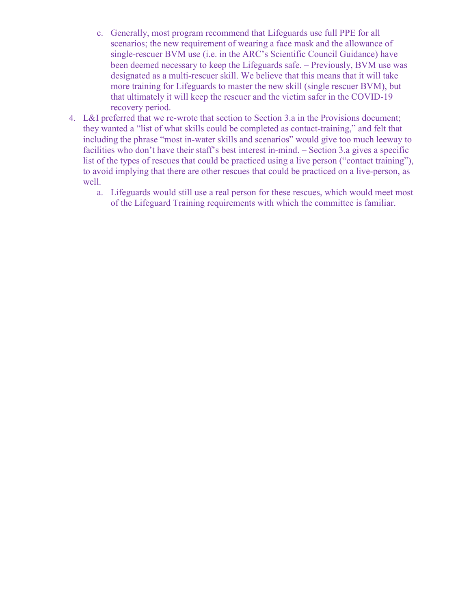- c. Generally, most program recommend that Lifeguards use full PPE for all scenarios; the new requirement of wearing a face mask and the allowance of single-rescuer BVM use (i.e. in the ARC's Scientific Council Guidance) have been deemed necessary to keep the Lifeguards safe. – Previously, BVM use was designated as a multi-rescuer skill. We believe that this means that it will take more training for Lifeguards to master the new skill (single rescuer BVM), but that ultimately it will keep the rescuer and the victim safer in the COVID-19 recovery period.
- 4. L&I preferred that we re-wrote that section to Section 3.a in the Provisions document; they wanted a "list of what skills could be completed as contact-training," and felt that including the phrase "most in-water skills and scenarios" would give too much leeway to facilities who don't have their staff's best interest in-mind. – Section 3.a gives a specific list of the types of rescues that could be practiced using a live person ("contact training"), to avoid implying that there are other rescues that could be practiced on a live-person, as well.
	- a. Lifeguards would still use a real person for these rescues, which would meet most of the Lifeguard Training requirements with which the committee is familiar.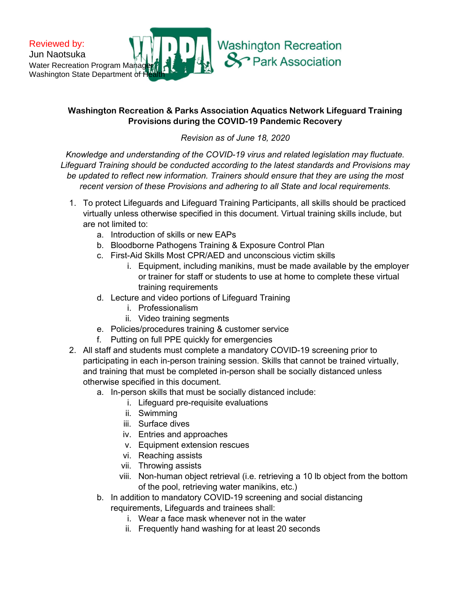

# Washington Recreation & Parks Association Aquatics Network Lifeguard Training Provisions during the COVID-19 Pandemic Recovery

Revision as of June 18, 2020

Knowledge and understanding of the COVID-19 virus and related legislation may fluctuate. Lifeguard Training should be conducted according to the latest standards and Provisions may be updated to reflect new information. Trainers should ensure that they are using the most recent version of these Provisions and adhering to all State and local requirements.

- 1. To protect Lifeguards and Lifeguard Training Participants, all skills should be practiced virtually unless otherwise specified in this document. Virtual training skills include, but are not limited to:
	- a. Introduction of skills or new EAPs
	- b. Bloodborne Pathogens Training & Exposure Control Plan
	- c. First-Aid Skills Most CPR/AED and unconscious victim skills
		- i. Equipment, including manikins, must be made available by the employer or trainer for staff or students to use at home to complete these virtual training requirements
	- d. Lecture and video portions of Lifeguard Training
		- i. Professionalism
		- ii. Video training segments
	- e. Policies/procedures training & customer service
	- f. Putting on full PPE quickly for emergencies
- 2. All staff and students must complete a mandatory COVID-19 screening prior to participating in each in-person training session. Skills that cannot be trained virtually, and training that must be completed in-person shall be socially distanced unless otherwise specified in this document.
	- a. In-person skills that must be socially distanced include:
		- i. Lifeguard pre-requisite evaluations
			- ii. Swimming
		- iii. Surface dives
		- iv. Entries and approaches
		- v. Equipment extension rescues
		- vi. Reaching assists
		- vii. Throwing assists
		- viii. Non-human object retrieval (i.e. retrieving a 10 lb object from the bottom of the pool, retrieving water manikins, etc.)
	- b. In addition to mandatory COVID-19 screening and social distancing requirements, Lifeguards and trainees shall:
		- i. Wear a face mask whenever not in the water
		- ii. Frequently hand washing for at least 20 seconds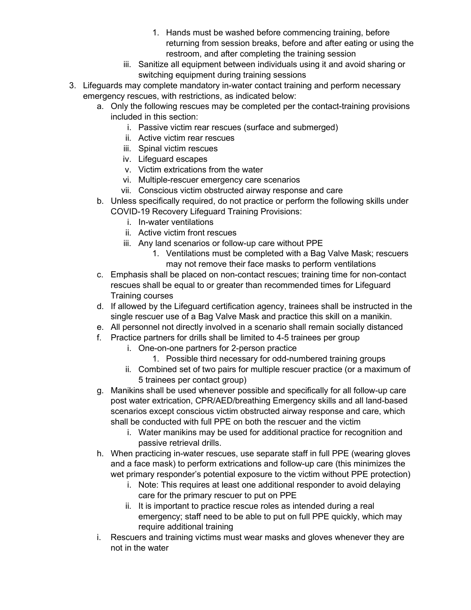- 1. Hands must be washed before commencing training, before returning from session breaks, before and after eating or using the restroom, and after completing the training session
- iii. Sanitize all equipment between individuals using it and avoid sharing or switching equipment during training sessions
- 3. Lifeguards may complete mandatory in-water contact training and perform necessary emergency rescues, with restrictions, as indicated below:
	- a. Only the following rescues may be completed per the contact-training provisions included in this section:
		- i. Passive victim rear rescues (surface and submerged)
		- ii. Active victim rear rescues
		- iii. Spinal victim rescues
		- iv. Lifeguard escapes
		- v. Victim extrications from the water
		- vi. Multiple-rescuer emergency care scenarios
		- vii. Conscious victim obstructed airway response and care
	- b. Unless specifically required, do not practice or perform the following skills under COVID-19 Recovery Lifeguard Training Provisions:
		- i. In-water ventilations
		- ii. Active victim front rescues
		- iii. Any land scenarios or follow-up care without PPE
			- 1. Ventilations must be completed with a Bag Valve Mask; rescuers may not remove their face masks to perform ventilations
	- c. Emphasis shall be placed on non-contact rescues; training time for non-contact rescues shall be equal to or greater than recommended times for Lifeguard Training courses
	- d. If allowed by the Lifeguard certification agency, trainees shall be instructed in the single rescuer use of a Bag Valve Mask and practice this skill on a manikin.
	- e. All personnel not directly involved in a scenario shall remain socially distanced
	- f. Practice partners for drills shall be limited to 4-5 trainees per group
		- i. One-on-one partners for 2-person practice
			- 1. Possible third necessary for odd-numbered training groups
		- ii. Combined set of two pairs for multiple rescuer practice (or a maximum of 5 trainees per contact group)
	- g. Manikins shall be used whenever possible and specifically for all follow-up care post water extrication, CPR/AED/breathing Emergency skills and all land-based scenarios except conscious victim obstructed airway response and care, which shall be conducted with full PPE on both the rescuer and the victim
		- i. Water manikins may be used for additional practice for recognition and passive retrieval drills.
	- h. When practicing in-water rescues, use separate staff in full PPE (wearing gloves and a face mask) to perform extrications and follow-up care (this minimizes the wet primary responder's potential exposure to the victim without PPE protection)
		- i. Note: This requires at least one additional responder to avoid delaying care for the primary rescuer to put on PPE
		- ii. It is important to practice rescue roles as intended during a real emergency; staff need to be able to put on full PPE quickly, which may require additional training
	- i. Rescuers and training victims must wear masks and gloves whenever they are not in the water